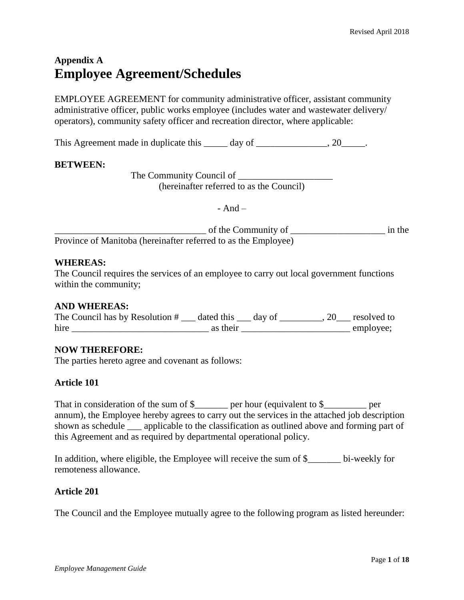# **Appendix A Employee Agreement/Schedules**

EMPLOYEE AGREEMENT for community administrative officer, assistant community administrative officer, public works employee (includes water and wastewater delivery/ operators), community safety officer and recreation director, where applicable:

This Agreement made in duplicate this day of \_\_\_\_\_\_\_\_\_\_\_\_\_\_\_, 20\_\_\_\_\_\_.

# **BETWEEN:**

The Community Council of (hereinafter referred to as the Council)

 $-$  And  $-$ 

of the Community of  $\Box$ Province of Manitoba (hereinafter referred to as the Employee)

# **WHEREAS:**

The Council requires the services of an employee to carry out local government functions within the community;

### **AND WHEREAS:**

| The Council has by Resolution # | dated this | day of | resolved to |
|---------------------------------|------------|--------|-------------|
| hire                            | as their   |        | employee:   |

# **NOW THEREFORE:**

The parties hereto agree and covenant as follows:

# **Article 101**

That in consideration of the sum of \$\_\_\_\_\_\_\_ per hour (equivalent to \$\_\_\_\_\_\_\_\_ per annum), the Employee hereby agrees to carry out the services in the attached job description shown as schedule applicable to the classification as outlined above and forming part of this Agreement and as required by departmental operational policy.

In addition, where eligible, the Employee will receive the sum of \$\_\_\_\_\_\_\_ bi-weekly for remoteness allowance.

# **Article 201**

The Council and the Employee mutually agree to the following program as listed hereunder: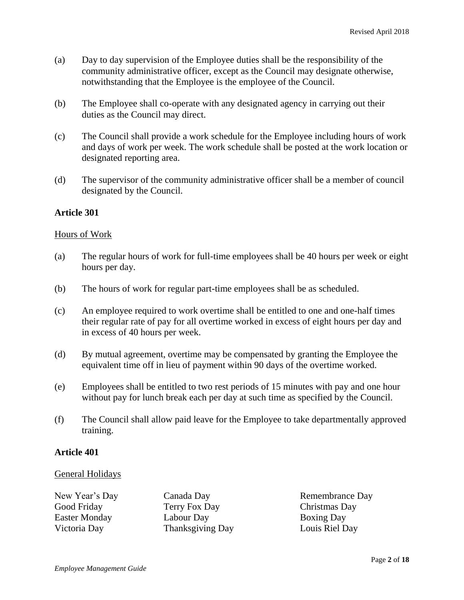- (a) Day to day supervision of the Employee duties shall be the responsibility of the community administrative officer, except as the Council may designate otherwise, notwithstanding that the Employee is the employee of the Council.
- (b) The Employee shall co-operate with any designated agency in carrying out their duties as the Council may direct.
- (c) The Council shall provide a work schedule for the Employee including hours of work and days of work per week. The work schedule shall be posted at the work location or designated reporting area.
- (d) The supervisor of the community administrative officer shall be a member of council designated by the Council.

# **Article 301**

#### Hours of Work

- (a) The regular hours of work for full-time employees shall be 40 hours per week or eight hours per day.
- (b) The hours of work for regular part-time employees shall be as scheduled.
- (c) An employee required to work overtime shall be entitled to one and one-half times their regular rate of pay for all overtime worked in excess of eight hours per day and in excess of 40 hours per week.
- (d) By mutual agreement, overtime may be compensated by granting the Employee the equivalent time off in lieu of payment within 90 days of the overtime worked.
- (e) Employees shall be entitled to two rest periods of 15 minutes with pay and one hour without pay for lunch break each per day at such time as specified by the Council.
- (f) The Council shall allow paid leave for the Employee to take departmentally approved training.

### **Article 401**

### General Holidays

| New Year's Day | Canada Day       |
|----------------|------------------|
| Good Friday    | Terry Fox Day    |
| Easter Monday  | Labour Day       |
| Victoria Day   | Thanksgiving Day |

Remembrance Day Christmas Day Boxing Day Louis Riel Day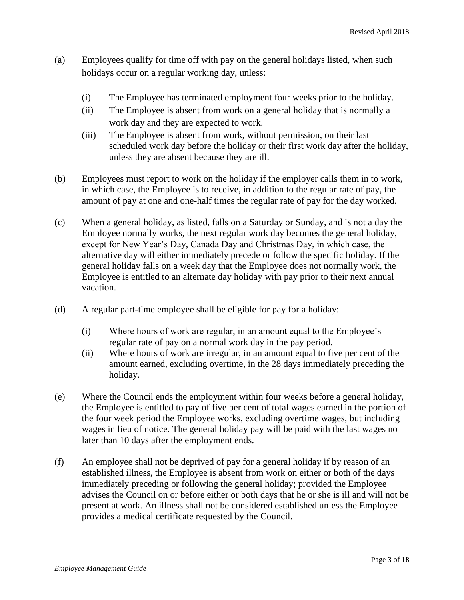- (a) Employees qualify for time off with pay on the general holidays listed, when such holidays occur on a regular working day, unless:
	- (i) The Employee has terminated employment four weeks prior to the holiday.
	- (ii) The Employee is absent from work on a general holiday that is normally a work day and they are expected to work.
	- (iii) The Employee is absent from work, without permission, on their last scheduled work day before the holiday or their first work day after the holiday, unless they are absent because they are ill.
- (b) Employees must report to work on the holiday if the employer calls them in to work, in which case, the Employee is to receive, in addition to the regular rate of pay, the amount of pay at one and one-half times the regular rate of pay for the day worked.
- (c) When a general holiday, as listed, falls on a Saturday or Sunday, and is not a day the Employee normally works, the next regular work day becomes the general holiday, except for New Year's Day, Canada Day and Christmas Day, in which case, the alternative day will either immediately precede or follow the specific holiday. If the general holiday falls on a week day that the Employee does not normally work, the Employee is entitled to an alternate day holiday with pay prior to their next annual vacation.
- (d) A regular part-time employee shall be eligible for pay for a holiday:
	- (i) Where hours of work are regular, in an amount equal to the Employee's regular rate of pay on a normal work day in the pay period.
	- (ii) Where hours of work are irregular, in an amount equal to five per cent of the amount earned, excluding overtime, in the 28 days immediately preceding the holiday.
- (e) Where the Council ends the employment within four weeks before a general holiday, the Employee is entitled to pay of five per cent of total wages earned in the portion of the four week period the Employee works, excluding overtime wages, but including wages in lieu of notice. The general holiday pay will be paid with the last wages no later than 10 days after the employment ends.
- (f) An employee shall not be deprived of pay for a general holiday if by reason of an established illness, the Employee is absent from work on either or both of the days immediately preceding or following the general holiday; provided the Employee advises the Council on or before either or both days that he or she is ill and will not be present at work. An illness shall not be considered established unless the Employee provides a medical certificate requested by the Council.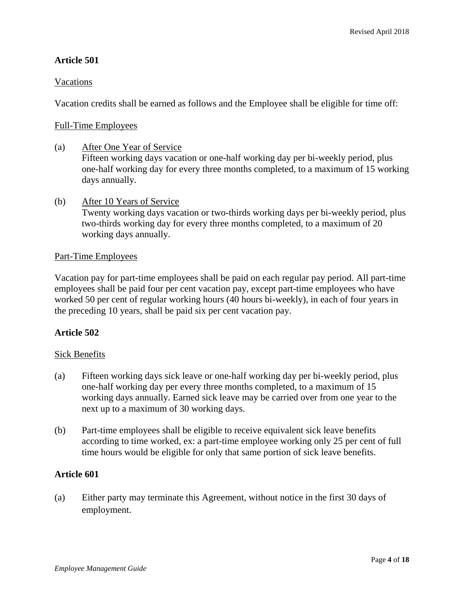# **Article 501**

# Vacations

Vacation credits shall be earned as follows and the Employee shall be eligible for time off:

### Full-Time Employees

(a) After One Year of Service Fifteen working days vacation or one-half working day per bi-weekly period, plus one-half working day for every three months completed, to a maximum of 15 working days annually.

### (b) After 10 Years of Service

Twenty working days vacation or two-thirds working days per bi-weekly period, plus two-thirds working day for every three months completed, to a maximum of 20 working days annually.

### Part-Time Employees

Vacation pay for part-time employees shall be paid on each regular pay period. All part-time employees shall be paid four per cent vacation pay, except part-time employees who have worked 50 per cent of regular working hours (40 hours bi-weekly), in each of four years in the preceding 10 years, shall be paid six per cent vacation pay.

# **Article 502**

### Sick Benefits

- (a) Fifteen working days sick leave or one-half working day per bi-weekly period, plus one-half working day per every three months completed, to a maximum of 15 working days annually. Earned sick leave may be carried over from one year to the next up to a maximum of 30 working days.
- (b) Part-time employees shall be eligible to receive equivalent sick leave benefits according to time worked, ex: a part-time employee working only 25 per cent of full time hours would be eligible for only that same portion of sick leave benefits.

### **Article 601**

(a) Either party may terminate this Agreement, without notice in the first 30 days of employment.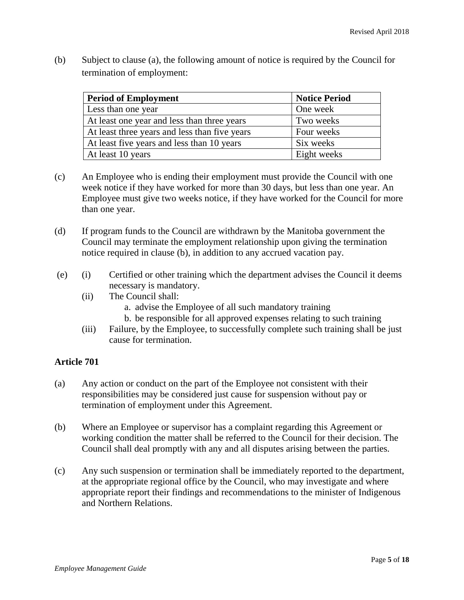(b) Subject to clause (a), the following amount of notice is required by the Council for termination of employment:

| <b>Period of Employment</b>                   | <b>Notice Period</b> |
|-----------------------------------------------|----------------------|
| Less than one year                            | One week             |
| At least one year and less than three years   | Two weeks            |
| At least three years and less than five years | Four weeks           |
| At least five years and less than 10 years    | Six weeks            |
| At least 10 years                             | Eight weeks          |

- (c) An Employee who is ending their employment must provide the Council with one week notice if they have worked for more than 30 days, but less than one year. An Employee must give two weeks notice, if they have worked for the Council for more than one year.
- (d) If program funds to the Council are withdrawn by the Manitoba government the Council may terminate the employment relationship upon giving the termination notice required in clause (b), in addition to any accrued vacation pay.
- (e) (i) Certified or other training which the department advises the Council it deems necessary is mandatory.
	- (ii) The Council shall:
		- a. advise the Employee of all such mandatory training
		- b. be responsible for all approved expenses relating to such training
	- (iii) Failure, by the Employee, to successfully complete such training shall be just cause for termination.

# **Article 701**

- (a) Any action or conduct on the part of the Employee not consistent with their responsibilities may be considered just cause for suspension without pay or termination of employment under this Agreement.
- (b) Where an Employee or supervisor has a complaint regarding this Agreement or working condition the matter shall be referred to the Council for their decision. The Council shall deal promptly with any and all disputes arising between the parties.
- (c) Any such suspension or termination shall be immediately reported to the department, at the appropriate regional office by the Council, who may investigate and where appropriate report their findings and recommendations to the minister of Indigenous and Northern Relations.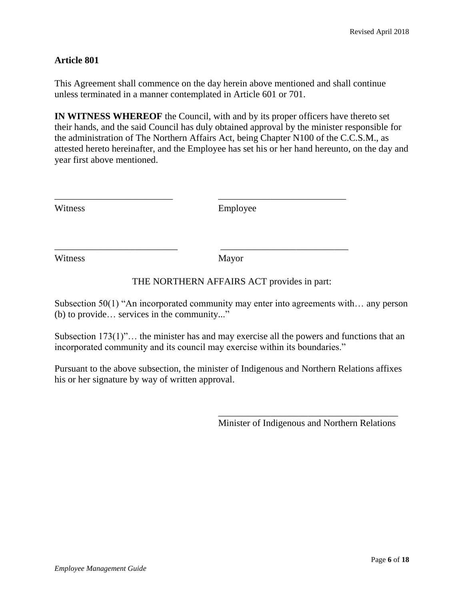# **Article 801**

This Agreement shall commence on the day herein above mentioned and shall continue unless terminated in a manner contemplated in Article 601 or 701.

**IN WITNESS WHEREOF** the Council, with and by its proper officers have thereto set their hands, and the said Council has duly obtained approval by the minister responsible for the administration of The Northern Affairs Act, being Chapter N100 of the C.C.S.M., as attested hereto hereinafter, and the Employee has set his or her hand hereunto, on the day and year first above mentioned.

Employee

\_\_\_\_\_\_\_\_\_\_\_\_\_\_\_\_\_\_\_\_\_\_\_\_\_ \_\_\_\_\_\_\_\_\_\_\_\_\_\_\_\_\_\_\_\_\_\_\_\_\_\_\_

\_\_\_\_\_\_\_\_\_\_\_\_\_\_\_\_\_\_\_\_\_\_\_\_\_\_ \_\_\_\_\_\_\_\_\_\_\_\_\_\_\_\_\_\_\_\_\_\_\_\_\_\_\_

Witness Mayor

# THE NORTHERN AFFAIRS ACT provides in part:

Subsection 50(1) "An incorporated community may enter into agreements with… any person (b) to provide… services in the community..."

Subsection 173(1)"… the minister has and may exercise all the powers and functions that an incorporated community and its council may exercise within its boundaries."

Pursuant to the above subsection, the minister of Indigenous and Northern Relations affixes his or her signature by way of written approval.

> \_\_\_\_\_\_\_\_\_\_\_\_\_\_\_\_\_\_\_\_\_\_\_\_\_\_\_\_\_\_\_\_\_\_\_\_\_\_ Minister of Indigenous and Northern Relations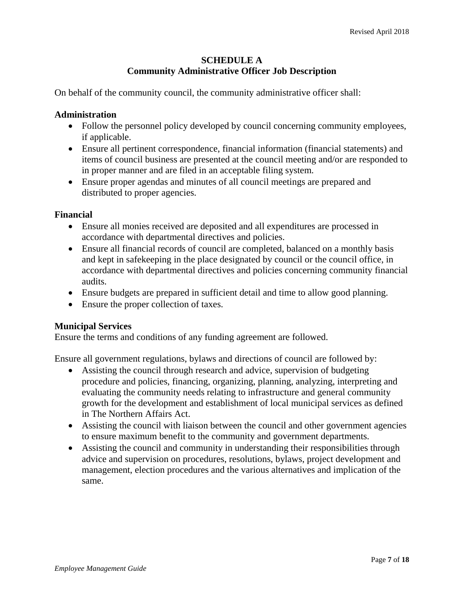# **SCHEDULE A Community Administrative Officer Job Description**

On behalf of the community council, the community administrative officer shall:

#### **Administration**

- Follow the personnel policy developed by council concerning community employees, if applicable.
- Ensure all pertinent correspondence, financial information (financial statements) and items of council business are presented at the council meeting and/or are responded to in proper manner and are filed in an acceptable filing system.
- Ensure proper agendas and minutes of all council meetings are prepared and distributed to proper agencies.

### **Financial**

- Ensure all monies received are deposited and all expenditures are processed in accordance with departmental directives and policies.
- Ensure all financial records of council are completed, balanced on a monthly basis and kept in safekeeping in the place designated by council or the council office, in accordance with departmental directives and policies concerning community financial audits.
- Ensure budgets are prepared in sufficient detail and time to allow good planning.
- Ensure the proper collection of taxes.

### **Municipal Services**

Ensure the terms and conditions of any funding agreement are followed.

Ensure all government regulations, bylaws and directions of council are followed by:

- Assisting the council through research and advice, supervision of budgeting procedure and policies, financing, organizing, planning, analyzing, interpreting and evaluating the community needs relating to infrastructure and general community growth for the development and establishment of local municipal services as defined in The Northern Affairs Act.
- Assisting the council with liaison between the council and other government agencies to ensure maximum benefit to the community and government departments.
- Assisting the council and community in understanding their responsibilities through advice and supervision on procedures, resolutions, bylaws, project development and management, election procedures and the various alternatives and implication of the same.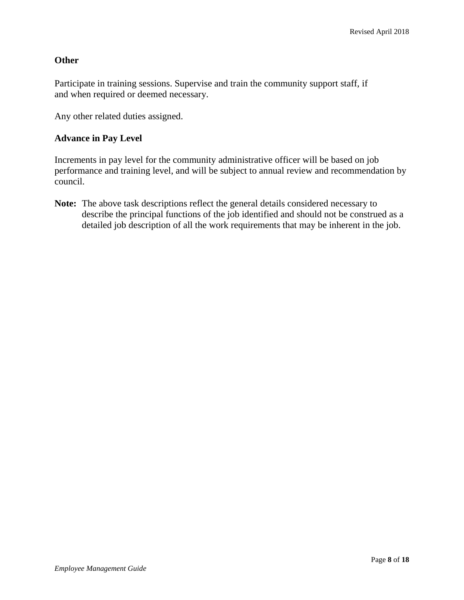# **Other**

Participate in training sessions. Supervise and train the community support staff, if and when required or deemed necessary.

Any other related duties assigned.

# **Advance in Pay Level**

Increments in pay level for the community administrative officer will be based on job performance and training level, and will be subject to annual review and recommendation by council.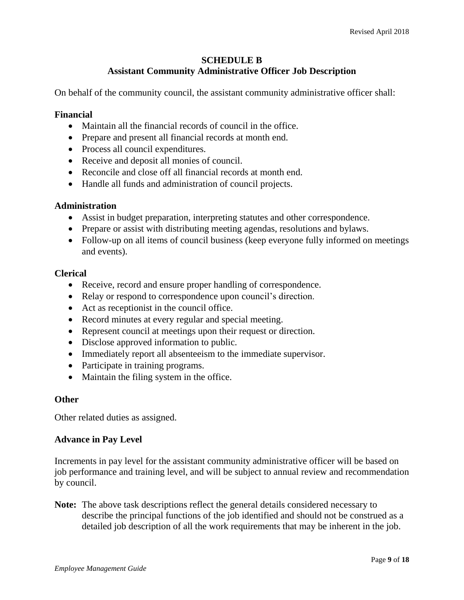# **SCHEDULE B Assistant Community Administrative Officer Job Description**

On behalf of the community council, the assistant community administrative officer shall:

# **Financial**

- Maintain all the financial records of council in the office.
- Prepare and present all financial records at month end.
- Process all council expenditures.
- Receive and deposit all monies of council.
- Reconcile and close off all financial records at month end.
- Handle all funds and administration of council projects.

# **Administration**

- Assist in budget preparation, interpreting statutes and other correspondence.
- Prepare or assist with distributing meeting agendas, resolutions and bylaws.
- Follow-up on all items of council business (keep everyone fully informed on meetings and events).

# **Clerical**

- Receive, record and ensure proper handling of correspondence.
- Relay or respond to correspondence upon council's direction.
- Act as receptionist in the council office.
- Record minutes at every regular and special meeting.
- Represent council at meetings upon their request or direction.
- Disclose approved information to public.
- Immediately report all absenteeism to the immediate supervisor.
- Participate in training programs.
- Maintain the filing system in the office.

# **Other**

Other related duties as assigned.

# **Advance in Pay Level**

Increments in pay level for the assistant community administrative officer will be based on job performance and training level, and will be subject to annual review and recommendation by council.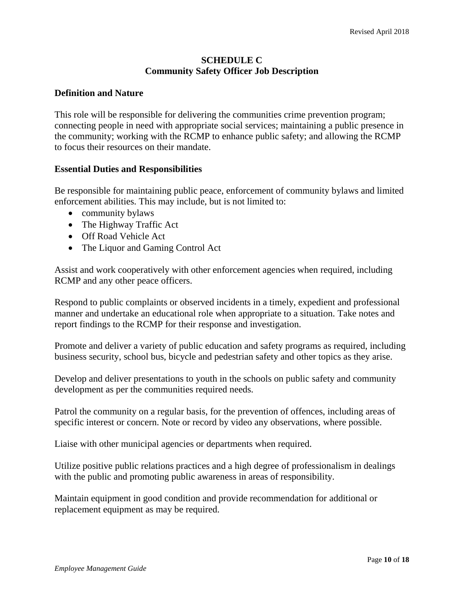# **SCHEDULE C Community Safety Officer Job Description**

### **Definition and Nature**

This role will be responsible for delivering the communities crime prevention program; connecting people in need with appropriate social services; maintaining a public presence in the community; working with the RCMP to enhance public safety; and allowing the RCMP to focus their resources on their mandate.

### **Essential Duties and Responsibilities**

Be responsible for maintaining public peace, enforcement of community bylaws and limited enforcement abilities. This may include, but is not limited to:

- community bylaws
- The Highway Traffic Act
- Off Road Vehicle Act
- The Liquor and Gaming Control Act

Assist and work cooperatively with other enforcement agencies when required, including RCMP and any other peace officers.

Respond to public complaints or observed incidents in a timely, expedient and professional manner and undertake an educational role when appropriate to a situation. Take notes and report findings to the RCMP for their response and investigation.

Promote and deliver a variety of public education and safety programs as required, including business security, school bus, bicycle and pedestrian safety and other topics as they arise.

Develop and deliver presentations to youth in the schools on public safety and community development as per the communities required needs.

Patrol the community on a regular basis, for the prevention of offences, including areas of specific interest or concern. Note or record by video any observations, where possible.

Liaise with other municipal agencies or departments when required.

Utilize positive public relations practices and a high degree of professionalism in dealings with the public and promoting public awareness in areas of responsibility.

Maintain equipment in good condition and provide recommendation for additional or replacement equipment as may be required.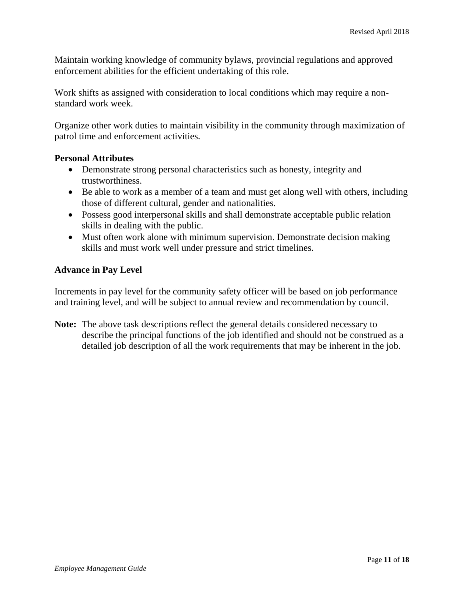Maintain working knowledge of community bylaws, provincial regulations and approved enforcement abilities for the efficient undertaking of this role.

Work shifts as assigned with consideration to local conditions which may require a nonstandard work week.

Organize other work duties to maintain visibility in the community through maximization of patrol time and enforcement activities.

# **Personal Attributes**

- Demonstrate strong personal characteristics such as honesty, integrity and trustworthiness.
- Be able to work as a member of a team and must get along well with others, including those of different cultural, gender and nationalities.
- Possess good interpersonal skills and shall demonstrate acceptable public relation skills in dealing with the public.
- Must often work alone with minimum supervision. Demonstrate decision making skills and must work well under pressure and strict timelines.

# **Advance in Pay Level**

Increments in pay level for the community safety officer will be based on job performance and training level, and will be subject to annual review and recommendation by council.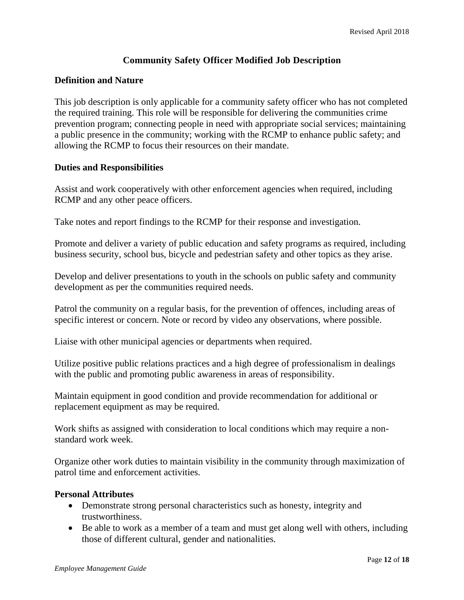# **Community Safety Officer Modified Job Description**

# **Definition and Nature**

This job description is only applicable for a community safety officer who has not completed the required training. This role will be responsible for delivering the communities crime prevention program; connecting people in need with appropriate social services; maintaining a public presence in the community; working with the RCMP to enhance public safety; and allowing the RCMP to focus their resources on their mandate.

### **Duties and Responsibilities**

Assist and work cooperatively with other enforcement agencies when required, including RCMP and any other peace officers.

Take notes and report findings to the RCMP for their response and investigation.

Promote and deliver a variety of public education and safety programs as required, including business security, school bus, bicycle and pedestrian safety and other topics as they arise.

Develop and deliver presentations to youth in the schools on public safety and community development as per the communities required needs.

Patrol the community on a regular basis, for the prevention of offences, including areas of specific interest or concern. Note or record by video any observations, where possible.

Liaise with other municipal agencies or departments when required.

Utilize positive public relations practices and a high degree of professionalism in dealings with the public and promoting public awareness in areas of responsibility.

Maintain equipment in good condition and provide recommendation for additional or replacement equipment as may be required.

Work shifts as assigned with consideration to local conditions which may require a nonstandard work week.

Organize other work duties to maintain visibility in the community through maximization of patrol time and enforcement activities.

### **Personal Attributes**

- Demonstrate strong personal characteristics such as honesty, integrity and trustworthiness.
- Be able to work as a member of a team and must get along well with others, including those of different cultural, gender and nationalities.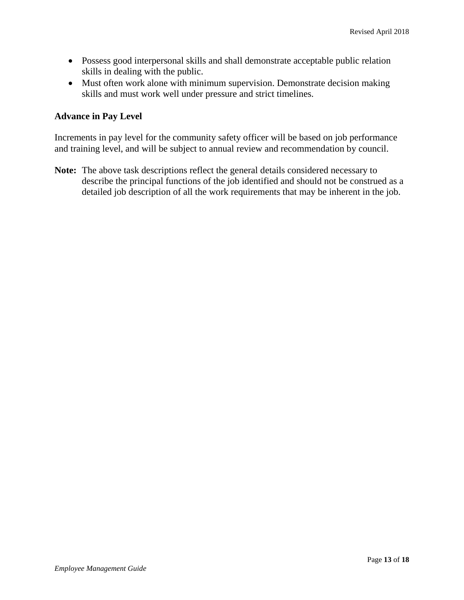- Possess good interpersonal skills and shall demonstrate acceptable public relation skills in dealing with the public.
- Must often work alone with minimum supervision. Demonstrate decision making skills and must work well under pressure and strict timelines.

# **Advance in Pay Level**

Increments in pay level for the community safety officer will be based on job performance and training level, and will be subject to annual review and recommendation by council.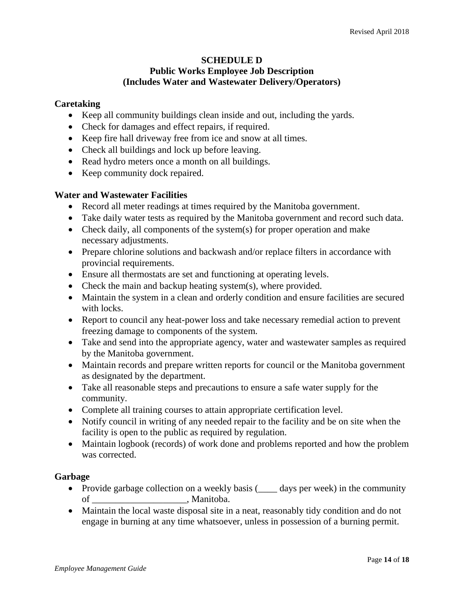# **SCHEDULE D Public Works Employee Job Description (Includes Water and Wastewater Delivery/Operators)**

# **Caretaking**

- Keep all community buildings clean inside and out, including the yards.
- Check for damages and effect repairs, if required.
- Keep fire hall driveway free from ice and snow at all times.
- Check all buildings and lock up before leaving.
- Read hydro meters once a month on all buildings.
- Keep community dock repaired.

### **Water and Wastewater Facilities**

- Record all meter readings at times required by the Manitoba government.
- Take daily water tests as required by the Manitoba government and record such data.
- Check daily, all components of the system(s) for proper operation and make necessary adjustments.
- Prepare chlorine solutions and backwash and/or replace filters in accordance with provincial requirements.
- Ensure all thermostats are set and functioning at operating levels.
- Check the main and backup heating system(s), where provided.
- Maintain the system in a clean and orderly condition and ensure facilities are secured with locks.
- Report to council any heat-power loss and take necessary remedial action to prevent freezing damage to components of the system.
- Take and send into the appropriate agency, water and wastewater samples as required by the Manitoba government.
- Maintain records and prepare written reports for council or the Manitoba government as designated by the department.
- Take all reasonable steps and precautions to ensure a safe water supply for the community.
- Complete all training courses to attain appropriate certification level.
- Notify council in writing of any needed repair to the facility and be on site when the facility is open to the public as required by regulation.
- Maintain logbook (records) of work done and problems reported and how the problem was corrected.

### **Garbage**

- Provide garbage collection on a weekly basis ( $\_\_\_$  days per week) in the community of contracts and models of the Manitoba.
- Maintain the local waste disposal site in a neat, reasonably tidy condition and do not engage in burning at any time whatsoever, unless in possession of a burning permit.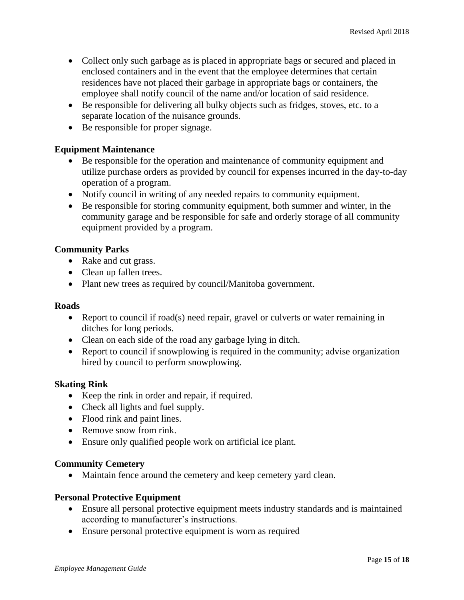- Collect only such garbage as is placed in appropriate bags or secured and placed in enclosed containers and in the event that the employee determines that certain residences have not placed their garbage in appropriate bags or containers, the employee shall notify council of the name and/or location of said residence.
- Be responsible for delivering all bulky objects such as fridges, stoves, etc. to a separate location of the nuisance grounds.
- Be responsible for proper signage.

# **Equipment Maintenance**

- Be responsible for the operation and maintenance of community equipment and utilize purchase orders as provided by council for expenses incurred in the day-to-day operation of a program.
- Notify council in writing of any needed repairs to community equipment.
- Be responsible for storing community equipment, both summer and winter, in the community garage and be responsible for safe and orderly storage of all community equipment provided by a program.

# **Community Parks**

- Rake and cut grass.
- Clean up fallen trees.
- Plant new trees as required by council/Manitoba government.

### **Roads**

- Report to council if road(s) need repair, gravel or culverts or water remaining in ditches for long periods.
- Clean on each side of the road any garbage lying in ditch.
- Report to council if snowplowing is required in the community; advise organization hired by council to perform snowplowing.

# **Skating Rink**

- Keep the rink in order and repair, if required.
- Check all lights and fuel supply.
- Flood rink and paint lines.
- Remove snow from rink.
- Ensure only qualified people work on artificial ice plant.

### **Community Cemetery**

Maintain fence around the cemetery and keep cemetery yard clean.

### **Personal Protective Equipment**

- Ensure all personal protective equipment meets industry standards and is maintained according to manufacturer's instructions.
- Ensure personal protective equipment is worn as required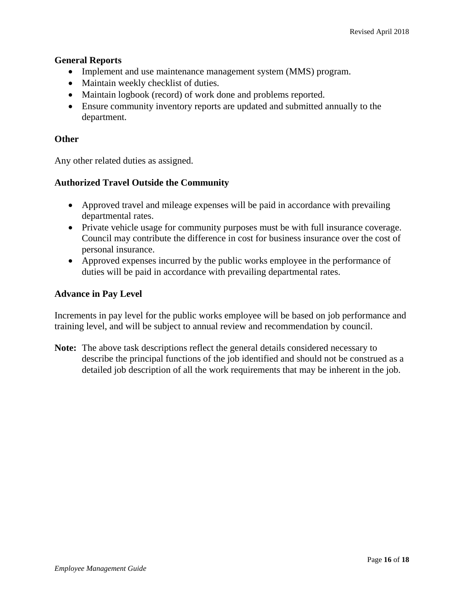# **General Reports**

- Implement and use maintenance management system (MMS) program.
- Maintain weekly checklist of duties.
- Maintain logbook (record) of work done and problems reported.
- Ensure community inventory reports are updated and submitted annually to the department.

# **Other**

Any other related duties as assigned.

# **Authorized Travel Outside the Community**

- Approved travel and mileage expenses will be paid in accordance with prevailing departmental rates.
- Private vehicle usage for community purposes must be with full insurance coverage. Council may contribute the difference in cost for business insurance over the cost of personal insurance.
- Approved expenses incurred by the public works employee in the performance of duties will be paid in accordance with prevailing departmental rates.

# **Advance in Pay Level**

Increments in pay level for the public works employee will be based on job performance and training level, and will be subject to annual review and recommendation by council.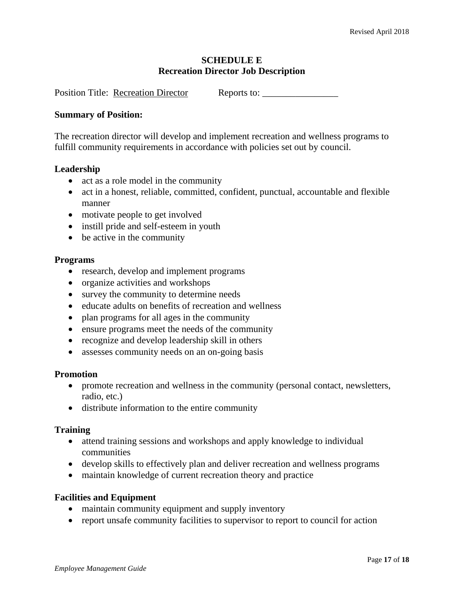# **SCHEDULE E Recreation Director Job Description**

Position Title: Recreation Director Reports to:

#### **Summary of Position:**

The recreation director will develop and implement recreation and wellness programs to fulfill community requirements in accordance with policies set out by council.

### **Leadership**

- act as a role model in the community
- act in a honest, reliable, committed, confident, punctual, accountable and flexible manner
- motivate people to get involved
- instill pride and self-esteem in youth
- be active in the community

#### **Programs**

- research, develop and implement programs
- organize activities and workshops
- survey the community to determine needs
- educate adults on benefits of recreation and wellness
- plan programs for all ages in the community
- ensure programs meet the needs of the community
- recognize and develop leadership skill in others
- assesses community needs on an on-going basis

#### **Promotion**

- promote recreation and wellness in the community (personal contact, newsletters, radio, etc.)
- distribute information to the entire community

#### **Training**

- attend training sessions and workshops and apply knowledge to individual communities
- develop skills to effectively plan and deliver recreation and wellness programs
- maintain knowledge of current recreation theory and practice

### **Facilities and Equipment**

- maintain community equipment and supply inventory
- report unsafe community facilities to supervisor to report to council for action